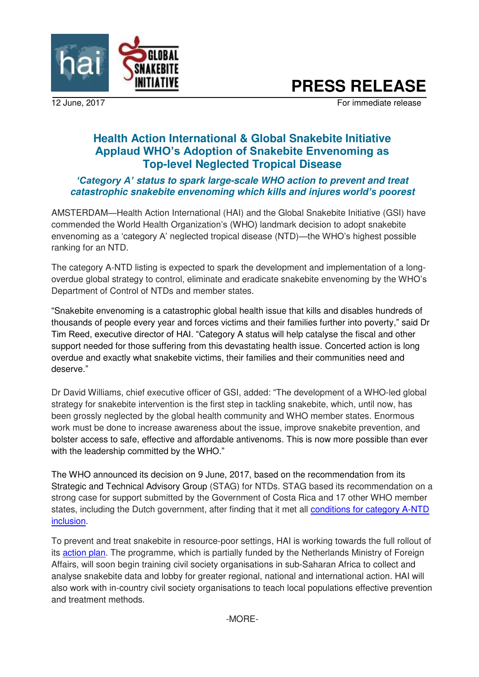

# **PRESS RELEASE**

12 June, 2017 **For immediate release** 

# **Health Action International & Global Snakebite Initiative Applaud WHO's Adoption of Snakebite Envenoming as Top-level Neglected Tropical Disease**

# *'Category A' status to spark large-scale WHO action to prevent and treat catastrophic snakebite envenoming which kills and injures world's poorest*

AMSTERDAM—Health Action International (HAI) and the Global Snakebite Initiative (GSI) have commended the World Health Organization's (WHO) landmark decision to adopt snakebite envenoming as a 'category A' neglected tropical disease (NTD)—the WHO's highest possible ranking for an NTD.

The category A-NTD listing is expected to spark the development and implementation of a longoverdue global strategy to control, eliminate and eradicate snakebite envenoming by the WHO's Department of Control of NTDs and member states.

"Snakebite envenoming is a catastrophic global health issue that kills and disables hundreds of thousands of people every year and forces victims and their families further into poverty," said Dr Tim Reed, executive director of HAI. "Category A status will help catalyse the fiscal and other support needed for those suffering from this devastating health issue. Concerted action is long overdue and exactly what snakebite victims, their families and their communities need and deserve."

Dr David Williams, chief executive officer of GSI, added: "The development of a WHO-led global strategy for snakebite intervention is the first step in tackling snakebite, which, until now, has been grossly neglected by the global health community and WHO member states. Enormous work must be done to increase awareness about the issue, improve snakebite prevention, and bolster access to safe, effective and affordable antivenoms. This is now more possible than ever with the leadership committed by the WHO."

The WHO announced its decision on 9 June, 2017, based on the recommendation from its Strategic and Technical Advisory Group (STAG) for NTDs. STAG based its recommendation on a strong case for support submitted by the Government of Costa Rica and 17 other WHO member states, including the Dutch government, after finding that it met all conditions for category A-NTD [inclusion.](http://www.who.int/neglected_diseases/diseases/Adoption_additional_NTDs.pdf)

To prevent and treat snakebite in resource-poor settings, HAI is working towards the full rollout of its [action plan.](http://haiweb.org/wp-content/uploads/2017/02/Snakebite-Action-Plan.pdf) The programme, which is partially funded by the Netherlands Ministry of Foreign Affairs, will soon begin training civil society organisations in sub-Saharan Africa to collect and analyse snakebite data and lobby for greater regional, national and international action. HAI will also work with in-country civil society organisations to teach local populations effective prevention and treatment methods.